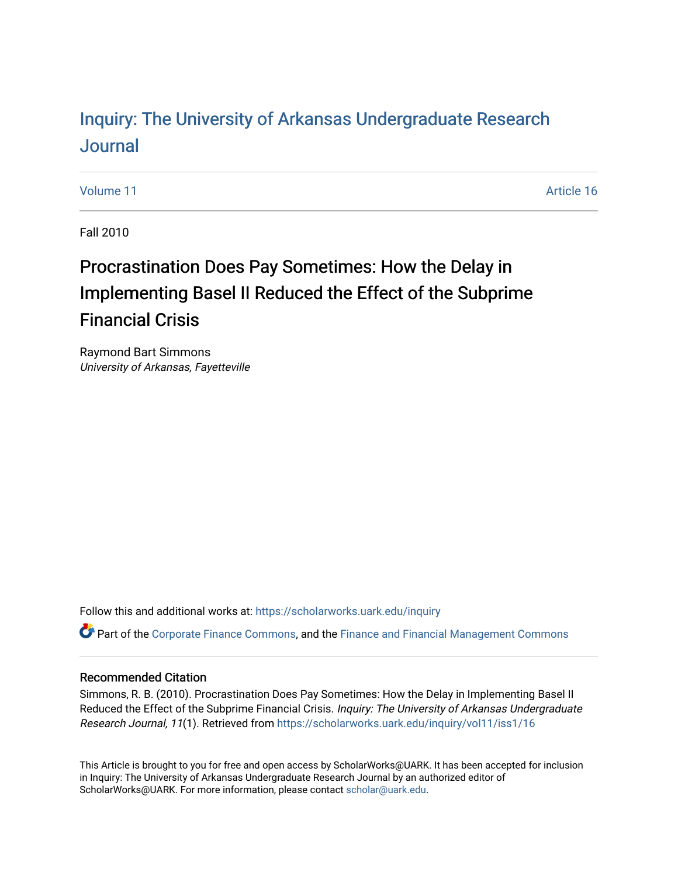# Inquiry: The Univ[ersity of Arkansas Undergraduate Resear](https://scholarworks.uark.edu/inquiry)ch [Journal](https://scholarworks.uark.edu/inquiry)

[Volume 11](https://scholarworks.uark.edu/inquiry/vol11) Article 16

Fall 2010

# Procrastination Does Pay Sometimes: How the Delay in Implementing Basel II Reduced the Effect of the Subprime Financial Crisis

Raymond Bart Simmons University of Arkansas, Fayetteville

Follow this and additional works at: [https://scholarworks.uark.edu/inquiry](https://scholarworks.uark.edu/inquiry?utm_source=scholarworks.uark.edu%2Finquiry%2Fvol11%2Fiss1%2F16&utm_medium=PDF&utm_campaign=PDFCoverPages)

**P** Part of the [Corporate Finance Commons](http://network.bepress.com/hgg/discipline/629?utm_source=scholarworks.uark.edu%2Finquiry%2Fvol11%2Fiss1%2F16&utm_medium=PDF&utm_campaign=PDFCoverPages), and the Finance and Financial Management Commons

### Recommended Citation

Simmons, R. B. (2010). Procrastination Does Pay Sometimes: How the Delay in Implementing Basel II Reduced the Effect of the Subprime Financial Crisis. Inquiry: The University of Arkansas Undergraduate Research Journal, 11(1). Retrieved from [https://scholarworks.uark.edu/inquiry/vol11/iss1/16](https://scholarworks.uark.edu/inquiry/vol11/iss1/16?utm_source=scholarworks.uark.edu%2Finquiry%2Fvol11%2Fiss1%2F16&utm_medium=PDF&utm_campaign=PDFCoverPages) 

This Article is brought to you for free and open access by ScholarWorks@UARK. It has been accepted for inclusion in Inquiry: The University of Arkansas Undergraduate Research Journal by an authorized editor of ScholarWorks@UARK. For more information, please contact [scholar@uark.edu](mailto:scholar@uark.edu).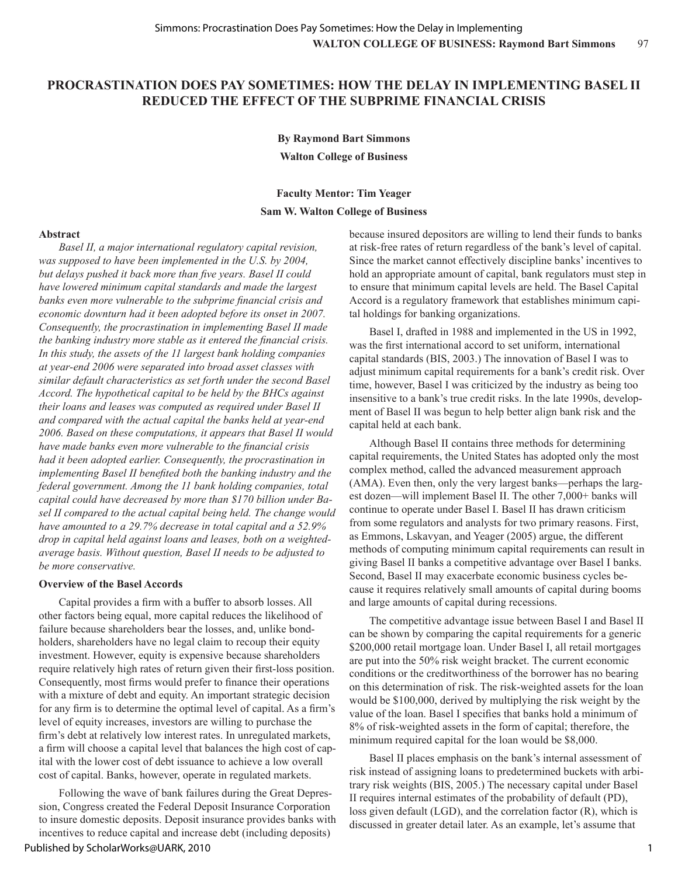### **PROCRASTINATION DOES PAY SOMETIMES: HOW THE DELAY IN IMPLEMENTING BASEL II REDUCED THE EFFECT OF THE SUBPRIME FINANCIAL CRISIS**

**By Raymond Bart Simmons Walton College of Business**

## **Faculty Mentor: Tim Yeager Sam W. Walton College of Business**

#### **Abstract**

*Basel II, a major international regulatory capital revision, was supposed to have been implemented in the U.S. by 2004, but delays pushed it back more than five years. Basel II could have lowered minimum capital standards and made the largest banks even more vulnerable to the subprime financial crisis and economic downturn had it been adopted before its onset in 2007. Consequently, the procrastination in implementing Basel II made the banking industry more stable as it entered the financial crisis. In this study, the assets of the 11 largest bank holding companies at year-end 2006 were separated into broad asset classes with similar default characteristics as set forth under the second Basel Accord. The hypothetical capital to be held by the BHCs against their loans and leases was computed as required under Basel II and compared with the actual capital the banks held at year-end 2006. Based on these computations, it appears that Basel II would have made banks even more vulnerable to the financial crisis had it been adopted earlier. Consequently, the procrastination in implementing Basel II benefited both the banking industry and the federal government. Among the 11 bank holding companies, total capital could have decreased by more than \$170 billion under Basel II compared to the actual capital being held. The change would have amounted to a 29.7% decrease in total capital and a 52.9% drop in capital held against loans and leases, both on a weightedaverage basis. Without question, Basel II needs to be adjusted to be more conservative.* 

#### **Overview of the Basel Accords**

Capital provides a firm with a buffer to absorb losses. All other factors being equal, more capital reduces the likelihood of failure because shareholders bear the losses, and, unlike bondholders, shareholders have no legal claim to recoup their equity investment. However, equity is expensive because shareholders require relatively high rates of return given their first-loss position. Consequently, most firms would prefer to finance their operations with a mixture of debt and equity. An important strategic decision for any firm is to determine the optimal level of capital. As a firm's level of equity increases, investors are willing to purchase the firm's debt at relatively low interest rates. In unregulated markets, a firm will choose a capital level that balances the high cost of capital with the lower cost of debt issuance to achieve a low overall cost of capital. Banks, however, operate in regulated markets.

Following the wave of bank failures during the Great Depression, Congress created the Federal Deposit Insurance Corporation to insure domestic deposits. Deposit insurance provides banks with incentives to reduce capital and increase debt (including deposits)

because insured depositors are willing to lend their funds to banks at risk-free rates of return regardless of the bank's level of capital. Since the market cannot effectively discipline banks' incentives to hold an appropriate amount of capital, bank regulators must step in to ensure that minimum capital levels are held. The Basel Capital Accord is a regulatory framework that establishes minimum capital holdings for banking organizations.

Basel I, drafted in 1988 and implemented in the US in 1992, was the first international accord to set uniform, international capital standards (BIS, 2003.) The innovation of Basel I was to adjust minimum capital requirements for a bank's credit risk. Over time, however, Basel I was criticized by the industry as being too insensitive to a bank's true credit risks. In the late 1990s, development of Basel II was begun to help better align bank risk and the capital held at each bank.

Although Basel II contains three methods for determining capital requirements, the United States has adopted only the most complex method, called the advanced measurement approach (AMA). Even then, only the very largest banks—perhaps the largest dozen—will implement Basel II. The other 7,000+ banks will continue to operate under Basel I. Basel II has drawn criticism from some regulators and analysts for two primary reasons. First, as Emmons, Lskavyan, and Yeager (2005) argue, the different methods of computing minimum capital requirements can result in giving Basel II banks a competitive advantage over Basel I banks. Second, Basel II may exacerbate economic business cycles because it requires relatively small amounts of capital during booms and large amounts of capital during recessions.

The competitive advantage issue between Basel I and Basel II can be shown by comparing the capital requirements for a generic \$200,000 retail mortgage loan. Under Basel I, all retail mortgages are put into the 50% risk weight bracket. The current economic conditions or the creditworthiness of the borrower has no bearing on this determination of risk. The risk-weighted assets for the loan would be \$100,000, derived by multiplying the risk weight by the value of the loan. Basel I specifies that banks hold a minimum of 8% of risk-weighted assets in the form of capital; therefore, the minimum required capital for the loan would be \$8,000.

Basel II places emphasis on the bank's internal assessment of risk instead of assigning loans to predetermined buckets with arbitrary risk weights (BIS, 2005.) The necessary capital under Basel II requires internal estimates of the probability of default (PD), loss given default (LGD), and the correlation factor (R), which is discussed in greater detail later. As an example, let's assume that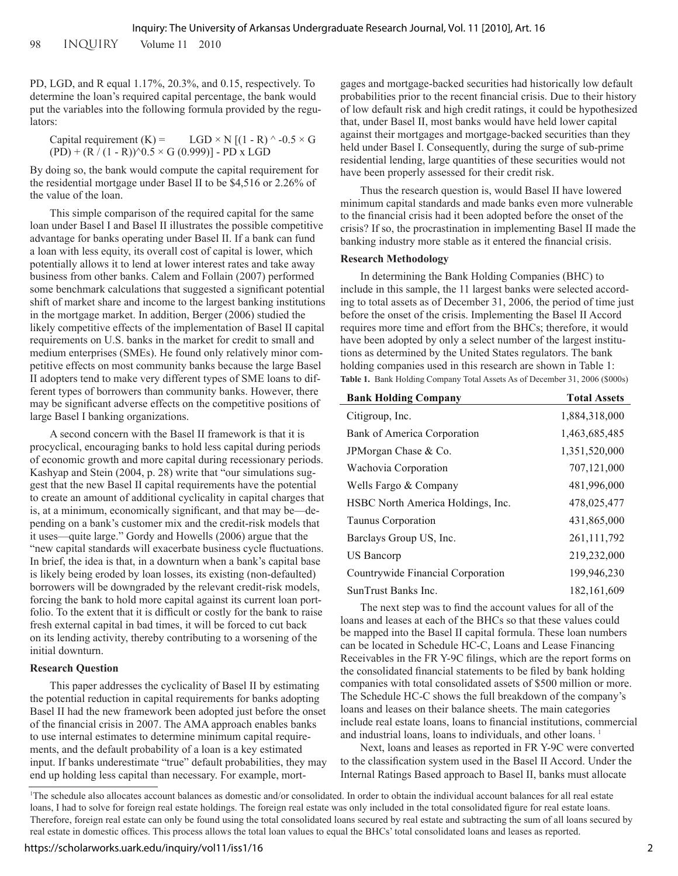98 INQUIRY Volume 11 2010

PD, LGD, and R equal 1.17%, 20.3%, and 0.15, respectively. To determine the loan's required capital percentage, the bank would put the variables into the following formula provided by the regulators:

| Capital requirement $(K)$ =                                   | $LGD \times N$ [(1 - R) ^ -0.5 $\times$ G |
|---------------------------------------------------------------|-------------------------------------------|
| $(PD) + (R/(1 - R))$ <sup>o</sup> 0.5 × G (0.999)] - PD x LGD |                                           |

By doing so, the bank would compute the capital requirement for the residential mortgage under Basel II to be \$4,516 or 2.26% of the value of the loan.

This simple comparison of the required capital for the same loan under Basel I and Basel II illustrates the possible competitive advantage for banks operating under Basel II. If a bank can fund a loan with less equity, its overall cost of capital is lower, which potentially allows it to lend at lower interest rates and take away business from other banks. Calem and Follain (2007) performed some benchmark calculations that suggested a significant potential shift of market share and income to the largest banking institutions in the mortgage market. In addition, Berger (2006) studied the likely competitive effects of the implementation of Basel II capital requirements on U.S. banks in the market for credit to small and medium enterprises (SMEs). He found only relatively minor competitive effects on most community banks because the large Basel II adopters tend to make very different types of SME loans to different types of borrowers than community banks. However, there may be significant adverse effects on the competitive positions of large Basel I banking organizations.

A second concern with the Basel II framework is that it is procyclical, encouraging banks to hold less capital during periods of economic growth and more capital during recessionary periods. Kashyap and Stein (2004, p. 28) write that "our simulations suggest that the new Basel II capital requirements have the potential to create an amount of additional cyclicality in capital charges that is, at a minimum, economically significant, and that may be—depending on a bank's customer mix and the credit-risk models that it uses—quite large." Gordy and Howells (2006) argue that the "new capital standards will exacerbate business cycle fluctuations. In brief, the idea is that, in a downturn when a bank's capital base is likely being eroded by loan losses, its existing (non-defaulted) borrowers will be downgraded by the relevant credit-risk models, forcing the bank to hold more capital against its current loan portfolio. To the extent that it is difficult or costly for the bank to raise fresh external capital in bad times, it will be forced to cut back on its lending activity, thereby contributing to a worsening of the initial downturn.

#### **Research Question**

This paper addresses the cyclicality of Basel II by estimating the potential reduction in capital requirements for banks adopting Basel II had the new framework been adopted just before the onset of the financial crisis in 2007. The AMA approach enables banks to use internal estimates to determine minimum capital requirements, and the default probability of a loan is a key estimated input. If banks underestimate "true" default probabilities, they may end up holding less capital than necessary. For example, mort-

gages and mortgage-backed securities had historically low default probabilities prior to the recent financial crisis. Due to their history of low default risk and high credit ratings, it could be hypothesized that, under Basel II, most banks would have held lower capital against their mortgages and mortgage-backed securities than they held under Basel I. Consequently, during the surge of sub-prime residential lending, large quantities of these securities would not have been properly assessed for their credit risk.

Thus the research question is, would Basel II have lowered minimum capital standards and made banks even more vulnerable to the financial crisis had it been adopted before the onset of the crisis? If so, the procrastination in implementing Basel II made the banking industry more stable as it entered the financial crisis.

#### **Research Methodology**

In determining the Bank Holding Companies (BHC) to include in this sample, the 11 largest banks were selected according to total assets as of December 31, 2006, the period of time just before the onset of the crisis. Implementing the Basel II Accord requires more time and effort from the BHCs; therefore, it would have been adopted by only a select number of the largest institutions as determined by the United States regulators. The bank holding companies used in this research are shown in Table 1: **Table 1.** Bank Holding Company Total Assets As of December 31, 2006 (\$000s)

| <b>Bank Holding Company</b>       | <b>Total Assets</b> |
|-----------------------------------|---------------------|
| Citigroup, Inc.                   | 1,884,318,000       |
| Bank of America Corporation       | 1,463,685,485       |
| JPM organ Chase & Co.             | 1,351,520,000       |
| Wachovia Corporation              | 707,121,000         |
| Wells Fargo & Company             | 481,996,000         |
| HSBC North America Holdings, Inc. | 478,025,477         |
| Taunus Corporation                | 431,865,000         |
| Barclays Group US, Inc.           | 261, 111, 792       |
| <b>US Bancorp</b>                 | 219,232,000         |
| Countrywide Financial Corporation | 199,946,230         |
| SunTrust Banks Inc.               | 182, 161, 609       |

The next step was to find the account values for all of the loans and leases at each of the BHCs so that these values could be mapped into the Basel II capital formula. These loan numbers can be located in Schedule HC-C, Loans and Lease Financing Receivables in the FR Y-9C filings, which are the report forms on the consolidated financial statements to be filed by bank holding companies with total consolidated assets of \$500 million or more. The Schedule HC-C shows the full breakdown of the company's loans and leases on their balance sheets. The main categories include real estate loans, loans to financial institutions, commercial and industrial loans, loans to individuals, and other loans.<sup>1</sup>

Next, loans and leases as reported in FR Y-9C were converted to the classification system used in the Basel II Accord. Under the Internal Ratings Based approach to Basel II, banks must allocate

<sup>1</sup> The schedule also allocates account balances as domestic and/or consolidated. In order to obtain the individual account balances for all real estate loans, I had to solve for foreign real estate holdings. The foreign real estate was only included in the total consolidated figure for real estate loans. Therefore, foreign real estate can only be found using the total consolidated loans secured by real estate and subtracting the sum of all loans secured by real estate in domestic offices. This process allows the total loan values to equal the BHCs' total consolidated loans and leases as reported.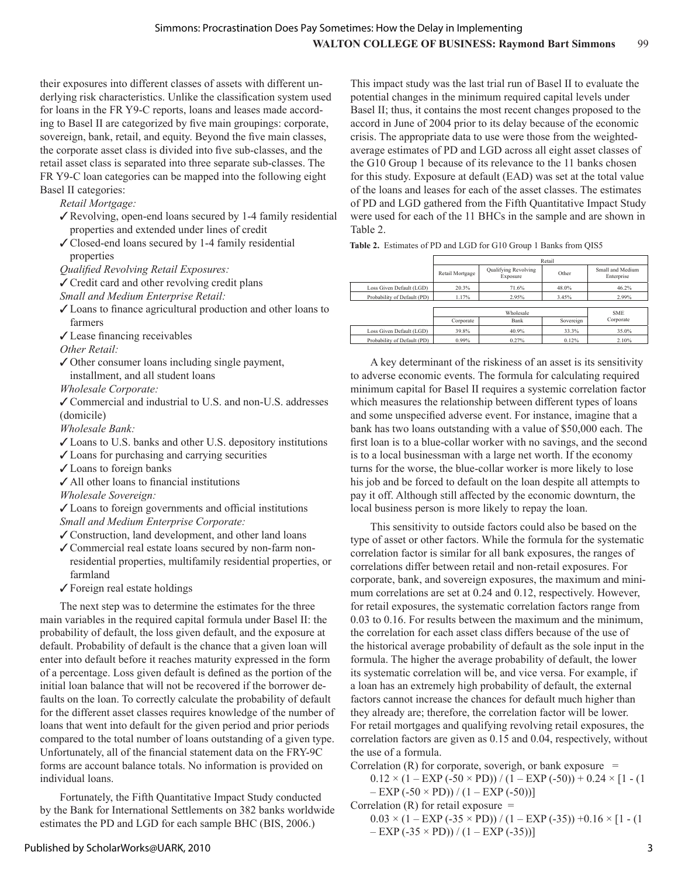their exposures into different classes of assets with different underlying risk characteristics. Unlike the classification system used for loans in the FR Y9-C reports, loans and leases made according to Basel II are categorized by five main groupings: corporate, sovereign, bank, retail, and equity. Beyond the five main classes, the corporate asset class is divided into five sub-classes, and the retail asset class is separated into three separate sub-classes. The FR Y9-C loan categories can be mapped into the following eight Basel II categories:

*Retail Mortgage:*

- $\sqrt{\frac{8}{x}}$  Revolving, open-end loans secured by 1-4 family residential properties and extended under lines of credit
- $\checkmark$  Closed-end loans secured by 1-4 family residential properties

*Qualified Revolving Retail Exposures:*

 $\checkmark$  Credit card and other revolving credit plans

*Small and Medium Enterprise Retail:*

- $\checkmark$  Loans to finance agricultural production and other loans to farmers
- $\checkmark$  Lease financing receivables

*Other Retail:*

- $\checkmark$  Other consumer loans including single payment, installment, and all student loans
- *Wholesale Corporate:*
- √ Commercial and industrial to U.S. and non-U.S. addresses (domicile)

*Wholesale Bank:*

- $\checkmark$  Loans to U.S. banks and other U.S. depository institutions
- $\checkmark$  Loans for purchasing and carrying securities
- $\checkmark$  Loans to foreign banks
- $\checkmark$  All other loans to financial institutions
- *Wholesale Sovereign:*

 $\checkmark$  Loans to foreign governments and official institutions *Small and Medium Enterprise Corporate:*

- $\checkmark$  Construction, land development, and other land loans
- ✔ Commercial real estate loans secured by non-farm nonresidential properties, multifamily residential properties, or farmland
- $\checkmark$  Foreign real estate holdings

The next step was to determine the estimates for the three main variables in the required capital formula under Basel II: the probability of default, the loss given default, and the exposure at default. Probability of default is the chance that a given loan will enter into default before it reaches maturity expressed in the form of a percentage. Loss given default is defined as the portion of the initial loan balance that will not be recovered if the borrower defaults on the loan. To correctly calculate the probability of default for the different asset classes requires knowledge of the number of loans that went into default for the given period and prior periods compared to the total number of loans outstanding of a given type. Unfortunately, all of the financial statement data on the FRY-9C forms are account balance totals. No information is provided on individual loans.

Fortunately, the Fifth Quantitative Impact Study conducted by the Bank for International Settlements on 382 banks worldwide estimates the PD and LGD for each sample BHC (BIS, 2006.)

This impact study was the last trial run of Basel II to evaluate the potential changes in the minimum required capital levels under Basel II; thus, it contains the most recent changes proposed to the accord in June of 2004 prior to its delay because of the economic crisis. The appropriate data to use were those from the weightedaverage estimates of PD and LGD across all eight asset classes of the G10 Group 1 because of its relevance to the 11 banks chosen for this study. Exposure at default (EAD) was set at the total value of the loans and leases for each of the asset classes. The estimates of PD and LGD gathered from the Fifth Quantitative Impact Study were used for each of the 11 BHCs in the sample and are shown in Table 2.

**Table 2.** Estimates of PD and LGD for G10 Group 1 Banks from QIS5

|                             | Retail          |                                  |            |                                |
|-----------------------------|-----------------|----------------------------------|------------|--------------------------------|
|                             | Retail Mortgage | Qualifying Revolving<br>Exposure | Other      | Small and Medium<br>Enterprise |
| Loss Given Default (LGD)    | 20.3%           | 71.6%                            | 48.0%      | 46.2%                          |
| Probability of Default (PD) | 1.17%           | 2.95%                            | 3.45%      | 2.99%                          |
|                             |                 |                                  |            |                                |
|                             | Wholesale       |                                  | <b>SME</b> |                                |
|                             | Corporate       | Bank                             | Sovereign  | Corporate                      |
| Loss Given Default (LGD)    | 39.8%           | 40.9%                            | 33.3%      | 35.0%                          |
| Probability of Default (PD) | 0.99%           | 0.27%                            | 0.12%      | 2.10%                          |

A key determinant of the riskiness of an asset is its sensitivity to adverse economic events. The formula for calculating required minimum capital for Basel II requires a systemic correlation factor which measures the relationship between different types of loans and some unspecified adverse event. For instance, imagine that a bank has two loans outstanding with a value of \$50,000 each. The first loan is to a blue-collar worker with no savings, and the second is to a local businessman with a large net worth. If the economy turns for the worse, the blue-collar worker is more likely to lose his job and be forced to default on the loan despite all attempts to pay it off. Although still affected by the economic downturn, the local business person is more likely to repay the loan.

This sensitivity to outside factors could also be based on the type of asset or other factors. While the formula for the systematic correlation factor is similar for all bank exposures, the ranges of correlations differ between retail and non-retail exposures. For corporate, bank, and sovereign exposures, the maximum and minimum correlations are set at 0.24 and 0.12, respectively. However, for retail exposures, the systematic correlation factors range from 0.03 to 0.16. For results between the maximum and the minimum, the correlation for each asset class differs because of the use of the historical average probability of default as the sole input in the formula. The higher the average probability of default, the lower its systematic correlation will be, and vice versa. For example, if a loan has an extremely high probability of default, the external factors cannot increase the chances for default much higher than they already are; therefore, the correlation factor will be lower. For retail mortgages and qualifying revolving retail exposures, the correlation factors are given as 0.15 and 0.04, respectively, without the use of a formula.

Correlation  $(R)$  for corporate, soverigh, or bank exposure =

 $0.12 \times (1 - EXP(-50 \times PD)) / (1 - EXP(-50)) + 0.24 \times [1 - (1$  $-$  EXP (-50  $\times$  PD)) / (1 – EXP (-50))]

Correlation  $(R)$  for retail exposure  $=$ 

 $0.03 \times (1 - EXP(-35 \times PD)) / (1 - EXP(-35)) +0.16 \times [1 - (1$  $-$  EXP (-35  $\times$  PD)) / (1 – EXP (-35))]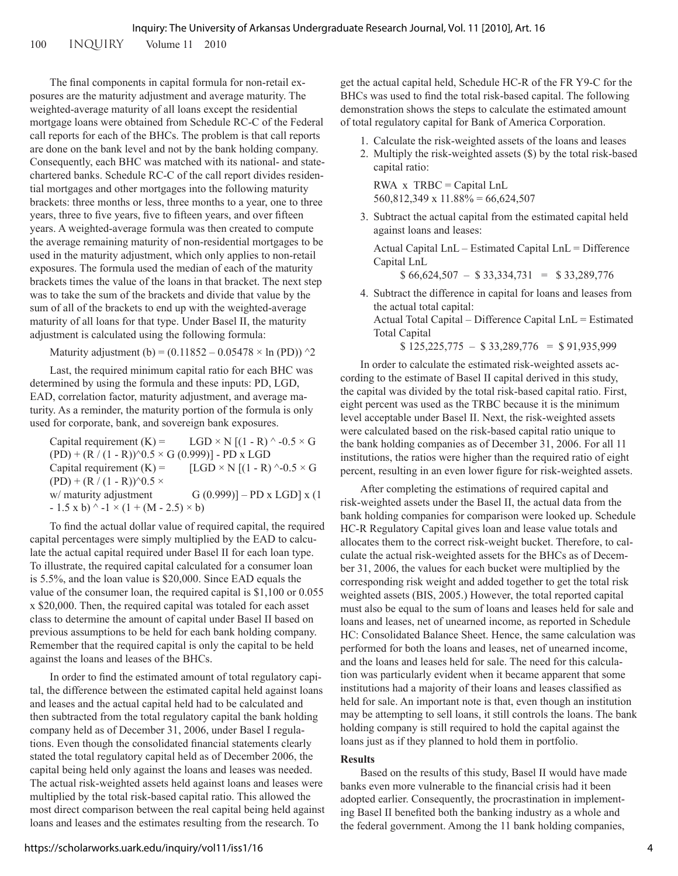100 INQUIRY Volume 11 2010

The final components in capital formula for non-retail exposures are the maturity adjustment and average maturity. The weighted-average maturity of all loans except the residential mortgage loans were obtained from Schedule RC-C of the Federal call reports for each of the BHCs. The problem is that call reports are done on the bank level and not by the bank holding company. Consequently, each BHC was matched with its national- and statechartered banks. Schedule RC-C of the call report divides residential mortgages and other mortgages into the following maturity brackets: three months or less, three months to a year, one to three years, three to five years, five to fifteen years, and over fifteen years. A weighted-average formula was then created to compute the average remaining maturity of non-residential mortgages to be used in the maturity adjustment, which only applies to non-retail exposures. The formula used the median of each of the maturity brackets times the value of the loans in that bracket. The next step was to take the sum of the brackets and divide that value by the sum of all of the brackets to end up with the weighted-average maturity of all loans for that type. Under Basel II, the maturity adjustment is calculated using the following formula:

Maturity adjustment (b) =  $(0.11852 - 0.05478 \times \ln(PD))$  ^2

Last, the required minimum capital ratio for each BHC was determined by using the formula and these inputs: PD, LGD, EAD, correlation factor, maturity adjustment, and average maturity. As a reminder, the maturity portion of the formula is only used for corporate, bank, and sovereign bank exposures.

Capital requirement  $(K)$  = LGD × N [(1 - R) ^ -0.5 × G  $(PD) + (R/(1 - R))$ <sup>o</sup>0.5 × G (0.999)] - PD x LGD Capital requirement  $(K)$  = [LGD × N [(1 - R) ^-0.5 × G  $(PD) + (R / (1 - R))$ <sup>2</sup>0.5 × w/ maturity adjustment  $G(0.999)$ ] – PD x LGD] x (1  $-1.5 \times b$ ) ^  $-1 \times (1 + (M - 2.5) \times b)$ 

To find the actual dollar value of required capital, the required capital percentages were simply multiplied by the EAD to calculate the actual capital required under Basel II for each loan type. To illustrate, the required capital calculated for a consumer loan is 5.5%, and the loan value is \$20,000. Since EAD equals the value of the consumer loan, the required capital is \$1,100 or 0.055 x \$20,000. Then, the required capital was totaled for each asset class to determine the amount of capital under Basel II based on previous assumptions to be held for each bank holding company. Remember that the required capital is only the capital to be held against the loans and leases of the BHCs.

In order to find the estimated amount of total regulatory capital, the difference between the estimated capital held against loans and leases and the actual capital held had to be calculated and then subtracted from the total regulatory capital the bank holding company held as of December 31, 2006, under Basel I regulations. Even though the consolidated financial statements clearly stated the total regulatory capital held as of December 2006, the capital being held only against the loans and leases was needed. The actual risk-weighted assets held against loans and leases were multiplied by the total risk-based capital ratio. This allowed the most direct comparison between the real capital being held against loans and leases and the estimates resulting from the research. To

get the actual capital held, Schedule HC-R of the FR Y9-C for the BHCs was used to find the total risk-based capital. The following demonstration shows the steps to calculate the estimated amount of total regulatory capital for Bank of America Corporation.

- 1. Calculate the risk-weighted assets of the loans and leases
- 2. Multiply the risk-weighted assets (\$) by the total risk-based capital ratio:

 $RWA \times TRBC = Capital LnL$  $560,812,349 \times 11.88\% = 66,624,507$ 

3. Subtract the actual capital from the estimated capital held against loans and leases:

Actual Capital LnL – Estimated Capital LnL = Difference Capital LnL

 $$66,624,507 - $33,334,731 = $33,289,776$ 

4. Subtract the difference in capital for loans and leases from the actual total capital: Actual Total Capital – Difference Capital LnL = Estimated Total Capital

 $$ 125,225,775 - $ 33,289,776 = $ 91,935,999$ 

In order to calculate the estimated risk-weighted assets according to the estimate of Basel II capital derived in this study, the capital was divided by the total risk-based capital ratio. First, eight percent was used as the TRBC because it is the minimum level acceptable under Basel II. Next, the risk-weighted assets were calculated based on the risk-based capital ratio unique to the bank holding companies as of December 31, 2006. For all 11 institutions, the ratios were higher than the required ratio of eight percent, resulting in an even lower figure for risk-weighted assets.

After completing the estimations of required capital and risk-weighted assets under the Basel II, the actual data from the bank holding companies for comparison were looked up. Schedule HC-R Regulatory Capital gives loan and lease value totals and allocates them to the correct risk-weight bucket. Therefore, to calculate the actual risk-weighted assets for the BHCs as of December 31, 2006, the values for each bucket were multiplied by the corresponding risk weight and added together to get the total risk weighted assets (BIS, 2005.) However, the total reported capital must also be equal to the sum of loans and leases held for sale and loans and leases, net of unearned income, as reported in Schedule HC: Consolidated Balance Sheet. Hence, the same calculation was performed for both the loans and leases, net of unearned income, and the loans and leases held for sale. The need for this calculation was particularly evident when it became apparent that some institutions had a majority of their loans and leases classified as held for sale. An important note is that, even though an institution may be attempting to sell loans, it still controls the loans. The bank holding company is still required to hold the capital against the loans just as if they planned to hold them in portfolio.

#### **Results**

Based on the results of this study, Basel II would have made banks even more vulnerable to the financial crisis had it been adopted earlier. Consequently, the procrastination in implementing Basel II benefited both the banking industry as a whole and the federal government. Among the 11 bank holding companies,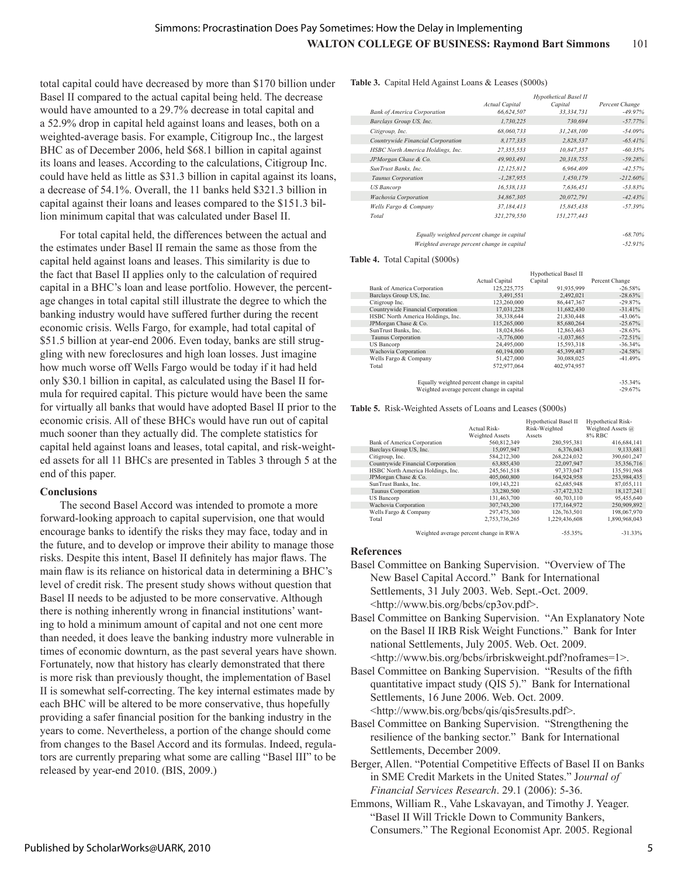total capital could have decreased by more than \$170 billion under Basel II compared to the actual capital being held. The decrease would have amounted to a 29.7% decrease in total capital and a 52.9% drop in capital held against loans and leases, both on a weighted-average basis. For example, Citigroup Inc., the largest BHC as of December 2006, held \$68.1 billion in capital against its loans and leases. According to the calculations, Citigroup Inc. could have held as little as \$31.3 billion in capital against its loans, a decrease of 54.1%. Overall, the 11 banks held \$321.3 billion in capital against their loans and leases compared to the \$151.3 billion minimum capital that was calculated under Basel II.

For total capital held, the differences between the actual and the estimates under Basel II remain the same as those from the capital held against loans and leases. This similarity is due to the fact that Basel II applies only to the calculation of required capital in a BHC's loan and lease portfolio. However, the percentage changes in total capital still illustrate the degree to which the banking industry would have suffered further during the recent economic crisis. Wells Fargo, for example, had total capital of \$51.5 billion at year-end 2006. Even today, banks are still struggling with new foreclosures and high loan losses. Just imagine how much worse off Wells Fargo would be today if it had held only \$30.1 billion in capital, as calculated using the Basel II formula for required capital. This picture would have been the same for virtually all banks that would have adopted Basel II prior to the economic crisis. All of these BHCs would have run out of capital much sooner than they actually did. The complete statistics for capital held against loans and leases, total capital, and risk-weighted assets for all 11 BHCs are presented in Tables 3 through 5 at the end of this paper.

#### **Conclusions**

The second Basel Accord was intended to promote a more forward-looking approach to capital supervision, one that would encourage banks to identify the risks they may face, today and in the future, and to develop or improve their ability to manage those risks. Despite this intent, Basel II definitely has major flaws. The main flaw is its reliance on historical data in determining a BHC's level of credit risk. The present study shows without question that Basel II needs to be adjusted to be more conservative. Although there is nothing inherently wrong in financial institutions' wanting to hold a minimum amount of capital and not one cent more than needed, it does leave the banking industry more vulnerable in times of economic downturn, as the past several years have shown. Fortunately, now that history has clearly demonstrated that there is more risk than previously thought, the implementation of Basel II is somewhat self-correcting. The key internal estimates made by each BHC will be altered to be more conservative, thus hopefully providing a safer financial position for the banking industry in the years to come. Nevertheless, a portion of the change should come from changes to the Basel Accord and its formulas. Indeed, regulators are currently preparing what some are calling "Basel III" to be released by year-end 2010. (BIS, 2009.)

#### **Table 3.** Capital Held Against Loans & Leases (\$000s)

|                                            | <b>Actual Capital</b> | Hypothetical Basel II<br>Capital | Percent Change |
|--------------------------------------------|-----------------------|----------------------------------|----------------|
| <b>Bank of America Corporation</b>         | 66,624,507            | 33, 334, 731                     | $-49.97\%$     |
| Barclays Group US, Inc.                    | 1,730,225             | 730.694                          | $-57.77%$      |
| Citigroup, Inc.                            | 68,060,733            | 31,248,100                       | $-54.09%$      |
| Countrywide Financial Corporation          | 8,177,335             | 2,828,537                        | $-65.41%$      |
| HSBC North America Holdings, Inc.          | 27,355,553            | 10,847,357                       | $-60.35%$      |
| JPMorgan Chase & Co.                       | 49,903,491            | 20,318,755                       | $-59.28%$      |
| SunTrust Banks, Inc.                       | 12,125,812            | 6,964,409                        | $-42.57%$      |
| Taunus Corporation                         | $-1,287,955$          | 1,450,179                        | $-212.60%$     |
| <b>US</b> Bancorp                          | 16.538.133            | 7,636,451                        | $-53.83%$      |
| <b>Wachovia Corporation</b>                | 34,867,305            | 20,072,791                       | $-42.43%$      |
| Wells Fargo & Company                      | 37,184,413            | 15,845,438                       | $-57.39%$      |
| Total                                      | 321,279,550           | 151,277,443                      |                |
| Equally weighted percent change in capital |                       |                                  | $-68.70\%$     |
| Weighted average percent change in capital |                       |                                  | $-52.91%$      |

#### **Table 4.** Total Capital (\$000s)

|                                            |                       | Hypothetical Basel II |                |
|--------------------------------------------|-----------------------|-----------------------|----------------|
|                                            | <b>Actual Capital</b> | Capital               | Percent Change |
| Bank of America Corporation                | 125,225,775           | 91,935,999            | $-26.58%$      |
| Barclays Group US, Inc.                    | 3,491,551             | 2,492,021             | $-28.63%$      |
| Citigroup Inc.                             | 123.260.000           | 86.447.367            | $-29.87%$      |
| Countrywide Financial Corporation          | 17,031,228            | 11,682,430            | $-31.41%$      |
| HSBC North America Holdings, Inc.          | 38,338,644            | 21,830,448            | $-43.06%$      |
| JPMorgan Chase & Co.                       | 115,265,000           | 85,680,264            | $-25.67%$      |
| SunTrust Banks, Inc.                       | 18,024,866            | 12,863,463            | $-28.63%$      |
| <b>Taunus Corporation</b>                  | $-3,776,000$          | $-1,037,865$          | $-72.51%$      |
| US Bancorp                                 | 24,495,000            | 15,593,318            | $-36.34%$      |
| Wachovia Corporation                       | 60.194.000            | 45.399.487            | $-24.58%$      |
| Wells Fargo & Company                      | 51,427,000            | 30,088,025            | $-41.49%$      |
| Total                                      | 572.977.064           | 402.974.957           |                |
|                                            |                       |                       |                |
| Equally weighted percent change in capital |                       |                       | $-35.34%$      |
| Weighted average percent change in capital |                       |                       | $-29.67\%$     |

#### **Table 5.** Risk-Weighted Assets of Loans and Leases (\$000s)

|                                   | Actual Risk-<br>Weighted Assets        | Hypothetical Basel II<br>Risk-Weighted<br>Assets | Hypothetical Risk-<br>Weighted Assets @<br>8% RBC |
|-----------------------------------|----------------------------------------|--------------------------------------------------|---------------------------------------------------|
| Bank of America Corporation       | 560,812,349                            | 280,595,381                                      | 416,684,141                                       |
| Barclays Group US, Inc.           | 15.097.947                             | 6.376.043                                        | 9,133,681                                         |
| Citigroup, Inc.                   | 584,212,300                            | 268,224,032                                      | 390,601,247                                       |
| Countrywide Financial Corporation | 63,885,430                             | 22,097,947                                       | 35,356,716                                        |
| HSBC North America Holdings, Inc. | 245.561.518                            | 97.373.047                                       | 135,591,968                                       |
| JPMorgan Chase & Co.              | 405.060.800                            | 164.924.958                                      | 253.984.435                                       |
| SunTrust Banks, Inc.              | 109,143,221                            | 62,685,948                                       | 87,055,111                                        |
| <b>Taunus Corporation</b>         | 33.280.500                             | $-37,472,332$                                    | 18,127,241                                        |
| <b>US Bancorp</b>                 | 131,463,700                            | 60,703,110                                       | 95,455,640                                        |
| Wachovia Corporation              | 307,743,200                            | 177, 164, 972                                    | 250,909,892                                       |
| Wells Fargo & Company             | 297,475,300                            | 126.763.501                                      | 198,067,970                                       |
| Total                             | 2.753.736.265                          | 1.229.436.608                                    | 1.890.968.043                                     |
|                                   | Weighted average percent change in RWA | $-55.35%$                                        | $-31.33\%$                                        |

#### **References**

- Basel Committee on Banking Supervision. "Overview of The New Basel Capital Accord." Bank for International Settlements, 31 July 2003. Web. Sept.-Oct. 2009. <http://www.bis.org/bcbs/cp3ov.pdf>.
- Basel Committee on Banking Supervision. "An Explanatory Note on the Basel II IRB Risk Weight Functions." Bank for Inter national Settlements, July 2005. Web. Oct. 2009. <http://www.bis.org/bcbs/irbriskweight.pdf?noframes=1>.
- Basel Committee on Banking Supervision. "Results of the fifth quantitative impact study (QIS 5)." Bank for International Settlements, 16 June 2006. Web. Oct. 2009. <http://www.bis.org/bcbs/qis/qis5results.pdf>.
- Basel Committee on Banking Supervision. "Strengthening the resilience of the banking sector." Bank for International Settlements, December 2009.
- Berger, Allen. "Potential Competitive Effects of Basel II on Banks in SME Credit Markets in the United States." J*ournal of Financial Services Research*. 29.1 (2006): 5-36.
- Emmons, William R., Vahe Lskavayan, and Timothy J. Yeager. "Basel II Will Trickle Down to Community Bankers, Consumers." The Regional Economist Apr. 2005. Regional